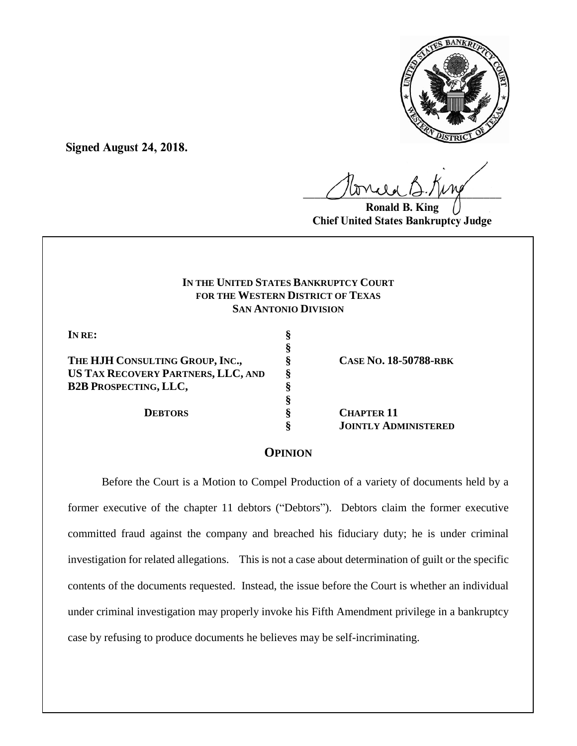

**Signed August 24, 2018.**

 $U^{WVWW}$ 

**Ronald B. King Chief United States Bankruptcy Judge**

# **IN THE UNITED STATES BANKRUPTCY COURT FOR THE WESTERN DISTRICT OF TEXAS SAN ANTONIO DIVISION**

**§**

**§**

**IN RE: §**

**THE HJH CONSULTING GROUP, INC., § CASE NO. 18-50788-RBK US TAX RECOVERY PARTNERS, LLC, AND § B2B PROSPECTING, LLC, §**

**DEBTORS § CHAPTER 11 § JOINTLY ADMINISTERED**

## **OPINION**

Before the Court is a Motion to Compel Production of a variety of documents held by a former executive of the chapter 11 debtors ("Debtors"). Debtors claim the former executive committed fraud against the company and breached his fiduciary duty; he is under criminal investigation for related allegations. This is not a case about determination of guilt or the specific contents of the documents requested. Instead, the issue before the Court is whether an individual under criminal investigation may properly invoke his Fifth Amendment privilege in a bankruptcy case by refusing to produce documents he believes may be self-incriminating.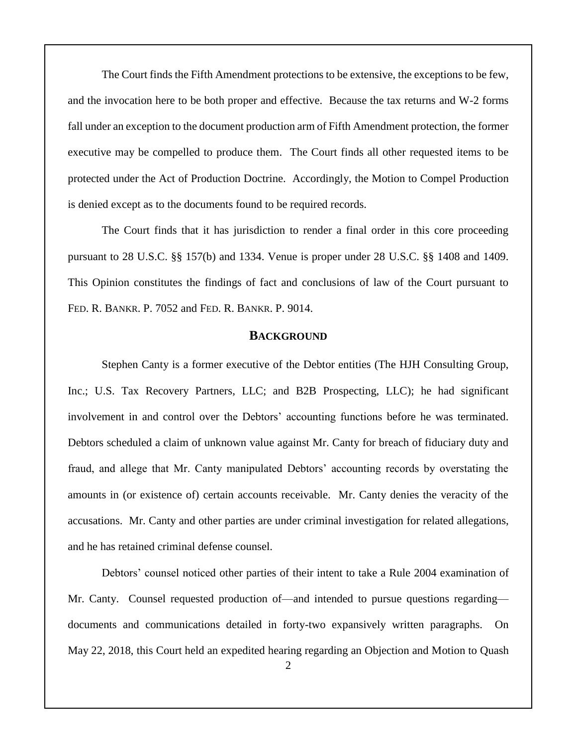The Court finds the Fifth Amendment protections to be extensive, the exceptions to be few, and the invocation here to be both proper and effective. Because the tax returns and W-2 forms fall under an exception to the document production arm of Fifth Amendment protection, the former executive may be compelled to produce them. The Court finds all other requested items to be protected under the Act of Production Doctrine. Accordingly, the Motion to Compel Production is denied except as to the documents found to be required records.

The Court finds that it has jurisdiction to render a final order in this core proceeding pursuant to 28 U.S.C. §§ 157(b) and 1334. Venue is proper under 28 U.S.C. §§ 1408 and 1409. This Opinion constitutes the findings of fact and conclusions of law of the Court pursuant to FED. R. BANKR. P. 7052 and FED. R. BANKR. P. 9014.

#### **BACKGROUND**

Stephen Canty is a former executive of the Debtor entities (The HJH Consulting Group, Inc.; U.S. Tax Recovery Partners, LLC; and B2B Prospecting, LLC); he had significant involvement in and control over the Debtors' accounting functions before he was terminated. Debtors scheduled a claim of unknown value against Mr. Canty for breach of fiduciary duty and fraud, and allege that Mr. Canty manipulated Debtors' accounting records by overstating the amounts in (or existence of) certain accounts receivable. Mr. Canty denies the veracity of the accusations. Mr. Canty and other parties are under criminal investigation for related allegations, and he has retained criminal defense counsel.

Debtors' counsel noticed other parties of their intent to take a Rule 2004 examination of Mr. Canty. Counsel requested production of—and intended to pursue questions regarding documents and communications detailed in forty-two expansively written paragraphs. On May 22, 2018, this Court held an expedited hearing regarding an Objection and Motion to Quash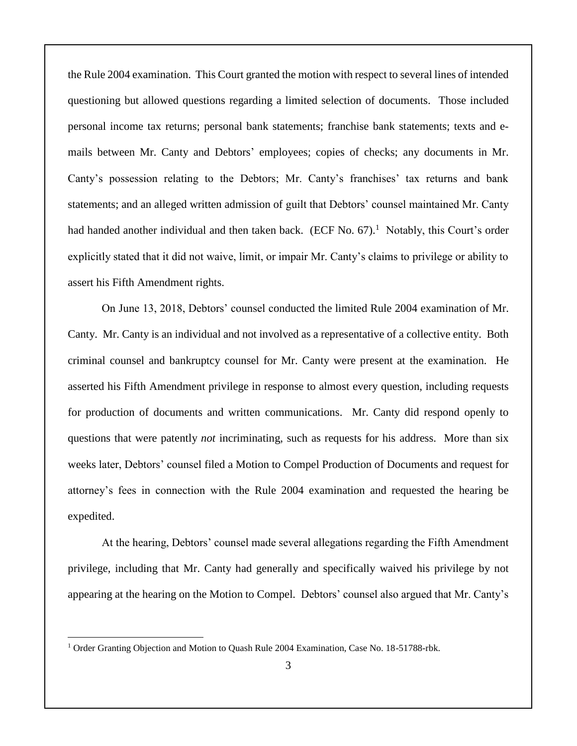the Rule 2004 examination. This Court granted the motion with respect to several lines of intended questioning but allowed questions regarding a limited selection of documents. Those included personal income tax returns; personal bank statements; franchise bank statements; texts and emails between Mr. Canty and Debtors' employees; copies of checks; any documents in Mr. Canty's possession relating to the Debtors; Mr. Canty's franchises' tax returns and bank statements; and an alleged written admission of guilt that Debtors' counsel maintained Mr. Canty had handed another individual and then taken back. (ECF No.  $67$ ).<sup>1</sup> Notably, this Court's order explicitly stated that it did not waive, limit, or impair Mr. Canty's claims to privilege or ability to assert his Fifth Amendment rights.

On June 13, 2018, Debtors' counsel conducted the limited Rule 2004 examination of Mr. Canty. Mr. Canty is an individual and not involved as a representative of a collective entity. Both criminal counsel and bankruptcy counsel for Mr. Canty were present at the examination. He asserted his Fifth Amendment privilege in response to almost every question, including requests for production of documents and written communications. Mr. Canty did respond openly to questions that were patently *not* incriminating, such as requests for his address. More than six weeks later, Debtors' counsel filed a Motion to Compel Production of Documents and request for attorney's fees in connection with the Rule 2004 examination and requested the hearing be expedited.

At the hearing, Debtors' counsel made several allegations regarding the Fifth Amendment privilege, including that Mr. Canty had generally and specifically waived his privilege by not appearing at the hearing on the Motion to Compel. Debtors' counsel also argued that Mr. Canty's

 $\overline{a}$ 

<sup>1</sup> Order Granting Objection and Motion to Quash Rule 2004 Examination, Case No. 18-51788-rbk.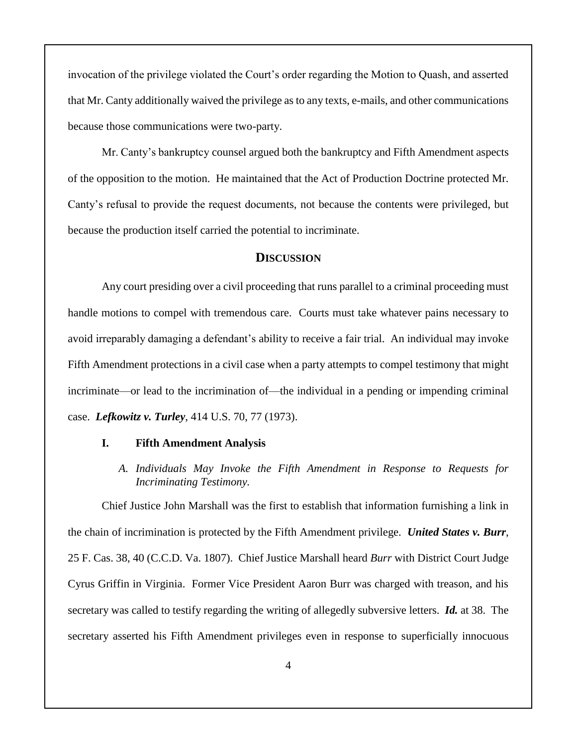invocation of the privilege violated the Court's order regarding the Motion to Quash, and asserted that Mr. Canty additionally waived the privilege as to any texts, e-mails, and other communications because those communications were two-party.

Mr. Canty's bankruptcy counsel argued both the bankruptcy and Fifth Amendment aspects of the opposition to the motion. He maintained that the Act of Production Doctrine protected Mr. Canty's refusal to provide the request documents, not because the contents were privileged, but because the production itself carried the potential to incriminate.

#### **DISCUSSION**

Any court presiding over a civil proceeding that runs parallel to a criminal proceeding must handle motions to compel with tremendous care. Courts must take whatever pains necessary to avoid irreparably damaging a defendant's ability to receive a fair trial. An individual may invoke Fifth Amendment protections in a civil case when a party attempts to compel testimony that might incriminate—or lead to the incrimination of—the individual in a pending or impending criminal case. *Lefkowitz v. Turley*, 414 U.S. 70, 77 (1973).

## **I. Fifth Amendment Analysis**

*A. Individuals May Invoke the Fifth Amendment in Response to Requests for Incriminating Testimony.*

Chief Justice John Marshall was the first to establish that information furnishing a link in the chain of incrimination is protected by the Fifth Amendment privilege. *United States v. Burr*, 25 F. Cas. 38, 40 (C.C.D. Va. 1807). Chief Justice Marshall heard *Burr* with District Court Judge Cyrus Griffin in Virginia. Former Vice President Aaron Burr was charged with treason, and his secretary was called to testify regarding the writing of allegedly subversive letters. *Id.* at 38. The secretary asserted his Fifth Amendment privileges even in response to superficially innocuous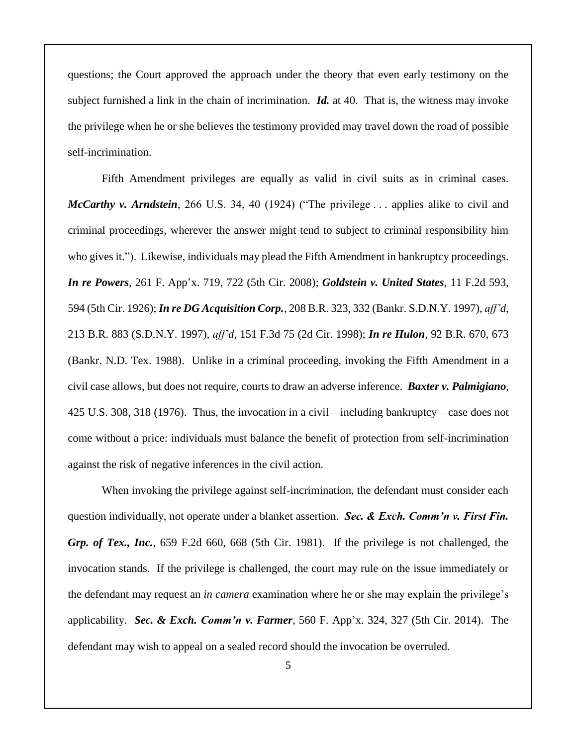questions; the Court approved the approach under the theory that even early testimony on the subject furnished a link in the chain of incrimination. *Id.* at 40. That is, the witness may invoke the privilege when he or she believes the testimony provided may travel down the road of possible self-incrimination.

Fifth Amendment privileges are equally as valid in civil suits as in criminal cases. *McCarthy v. Arndstein*, 266 U.S. 34, 40 (1924) ("The privilege . . . applies alike to civil and criminal proceedings, wherever the answer might tend to subject to criminal responsibility him who gives it."). Likewise, individuals may plead the Fifth Amendment in bankruptcy proceedings. *In re Powers*, 261 F. App'x. 719, 722 (5th Cir. 2008); *Goldstein v. United States*, 11 F.2d 593, 594 (5th Cir. 1926); *In re DG Acquisition Corp.*, 208 B.R. 323, 332 (Bankr. S.D.N.Y. 1997), *aff'd*, 213 B.R. 883 (S.D.N.Y. 1997), *aff'd*, 151 F.3d 75 (2d Cir. 1998); *In re Hulon*, 92 B.R. 670, 673 (Bankr. N.D. Tex. 1988). Unlike in a criminal proceeding, invoking the Fifth Amendment in a civil case allows, but does not require, courts to draw an adverse inference. *Baxter v. Palmigiano*, 425 U.S. 308, 318 (1976). Thus, the invocation in a civil—including bankruptcy—case does not come without a price: individuals must balance the benefit of protection from self-incrimination against the risk of negative inferences in the civil action.

When invoking the privilege against self-incrimination, the defendant must consider each question individually, not operate under a blanket assertion. *Sec. & Exch. Comm'n v. First Fin. Grp. of Tex., Inc.*, 659 F.2d 660, 668 (5th Cir. 1981). If the privilege is not challenged, the invocation stands. If the privilege is challenged, the court may rule on the issue immediately or the defendant may request an *in camera* examination where he or she may explain the privilege's applicability. *Sec. & Exch. Comm'n v. Farmer*, 560 F. App'x. 324, 327 (5th Cir. 2014). The defendant may wish to appeal on a sealed record should the invocation be overruled.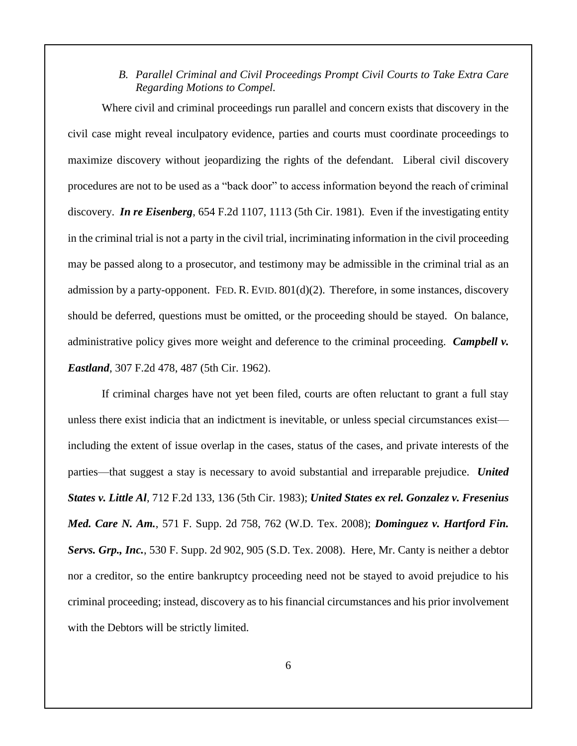*B. Parallel Criminal and Civil Proceedings Prompt Civil Courts to Take Extra Care Regarding Motions to Compel.*

Where civil and criminal proceedings run parallel and concern exists that discovery in the civil case might reveal inculpatory evidence, parties and courts must coordinate proceedings to maximize discovery without jeopardizing the rights of the defendant. Liberal civil discovery procedures are not to be used as a "back door" to access information beyond the reach of criminal discovery. *In re Eisenberg*, 654 F.2d 1107, 1113 (5th Cir. 1981). Even if the investigating entity in the criminal trial is not a party in the civil trial, incriminating information in the civil proceeding may be passed along to a prosecutor, and testimony may be admissible in the criminal trial as an admission by a party-opponent. FED. R. EVID. 801(d)(2). Therefore, in some instances, discovery should be deferred, questions must be omitted, or the proceeding should be stayed. On balance, administrative policy gives more weight and deference to the criminal proceeding. *Campbell v. Eastland*, 307 F.2d 478, 487 (5th Cir. 1962).

If criminal charges have not yet been filed, courts are often reluctant to grant a full stay unless there exist indicia that an indictment is inevitable, or unless special circumstances exist including the extent of issue overlap in the cases, status of the cases, and private interests of the parties—that suggest a stay is necessary to avoid substantial and irreparable prejudice. *United States v. Little Al*, 712 F.2d 133, 136 (5th Cir. 1983); *United States ex rel. Gonzalez v. Fresenius Med. Care N. Am.*, 571 F. Supp. 2d 758, 762 (W.D. Tex. 2008); *Dominguez v. Hartford Fin. Servs. Grp., Inc.*, 530 F. Supp. 2d 902, 905 (S.D. Tex. 2008). Here, Mr. Canty is neither a debtor nor a creditor, so the entire bankruptcy proceeding need not be stayed to avoid prejudice to his criminal proceeding; instead, discovery as to his financial circumstances and his prior involvement with the Debtors will be strictly limited.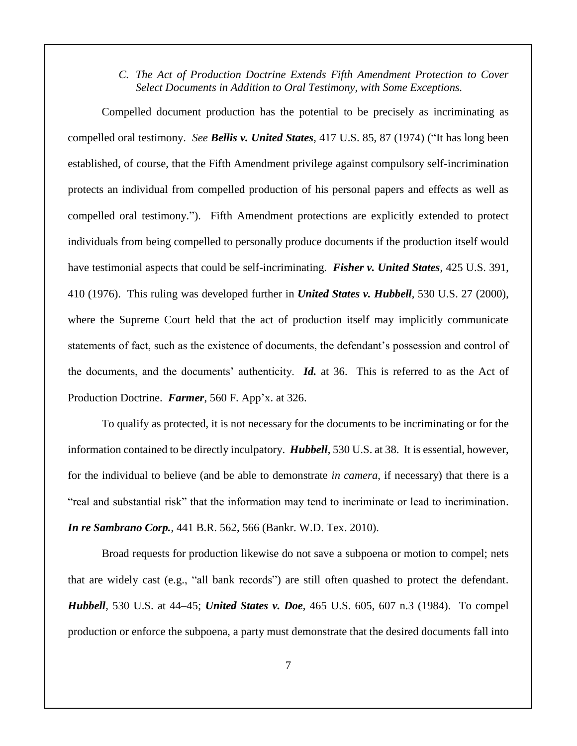*C. The Act of Production Doctrine Extends Fifth Amendment Protection to Cover Select Documents in Addition to Oral Testimony, with Some Exceptions.*

Compelled document production has the potential to be precisely as incriminating as compelled oral testimony. *See Bellis v. United States*, 417 U.S. 85, 87 (1974) ("It has long been established, of course, that the Fifth Amendment privilege against compulsory self-incrimination protects an individual from compelled production of his personal papers and effects as well as compelled oral testimony.").Fifth Amendment protections are explicitly extended to protect individuals from being compelled to personally produce documents if the production itself would have testimonial aspects that could be self-incriminating. *Fisher v. United States*, 425 U.S. 391, 410 (1976). This ruling was developed further in *United States v. Hubbell*, 530 U.S. 27 (2000), where the Supreme Court held that the act of production itself may implicitly communicate statements of fact, such as the existence of documents, the defendant's possession and control of the documents, and the documents' authenticity. *Id.* at 36. This is referred to as the Act of Production Doctrine. *Farmer*, 560 F. App'x. at 326.

To qualify as protected, it is not necessary for the documents to be incriminating or for the information contained to be directly inculpatory. *Hubbell*, 530 U.S. at 38. It is essential, however, for the individual to believe (and be able to demonstrate *in camera*, if necessary) that there is a "real and substantial risk" that the information may tend to incriminate or lead to incrimination. *In re Sambrano Corp.*, 441 B.R. 562, 566 (Bankr. W.D. Tex. 2010).

Broad requests for production likewise do not save a subpoena or motion to compel; nets that are widely cast (e.g., "all bank records") are still often quashed to protect the defendant. *Hubbell*, 530 U.S. at 44–45; *United States v. Doe*, 465 U.S. 605, 607 n.3 (1984). To compel production or enforce the subpoena, a party must demonstrate that the desired documents fall into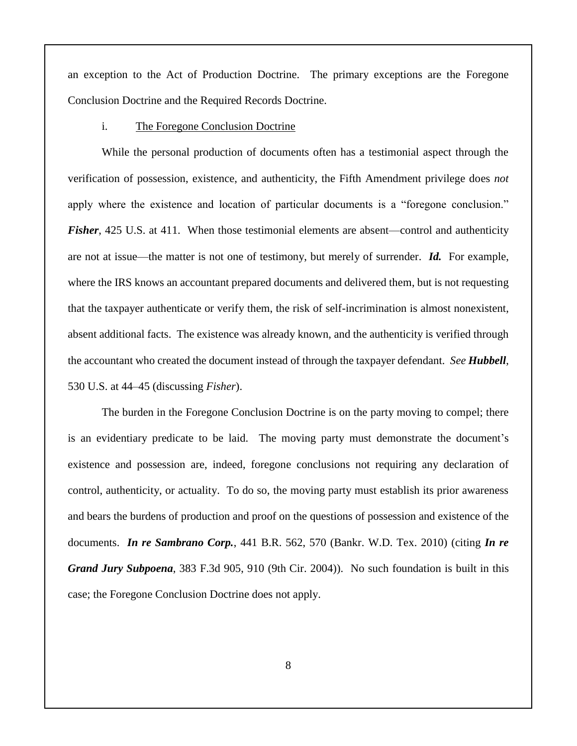an exception to the Act of Production Doctrine. The primary exceptions are the Foregone Conclusion Doctrine and the Required Records Doctrine.

#### i. The Foregone Conclusion Doctrine

While the personal production of documents often has a testimonial aspect through the verification of possession, existence, and authenticity, the Fifth Amendment privilege does *not*  apply where the existence and location of particular documents is a "foregone conclusion." *Fisher*, 425 U.S. at 411. When those testimonial elements are absent—control and authenticity are not at issue—the matter is not one of testimony, but merely of surrender. *Id.* For example, where the IRS knows an accountant prepared documents and delivered them, but is not requesting that the taxpayer authenticate or verify them, the risk of self-incrimination is almost nonexistent, absent additional facts. The existence was already known, and the authenticity is verified through the accountant who created the document instead of through the taxpayer defendant. *See Hubbell*, 530 U.S. at 44–45 (discussing *Fisher*).

The burden in the Foregone Conclusion Doctrine is on the party moving to compel; there is an evidentiary predicate to be laid. The moving party must demonstrate the document's existence and possession are, indeed, foregone conclusions not requiring any declaration of control, authenticity, or actuality. To do so, the moving party must establish its prior awareness and bears the burdens of production and proof on the questions of possession and existence of the documents. *In re Sambrano Corp.*, 441 B.R. 562, 570 (Bankr. W.D. Tex. 2010) (citing *In re Grand Jury Subpoena*, 383 F.3d 905, 910 (9th Cir. 2004)). No such foundation is built in this case; the Foregone Conclusion Doctrine does not apply.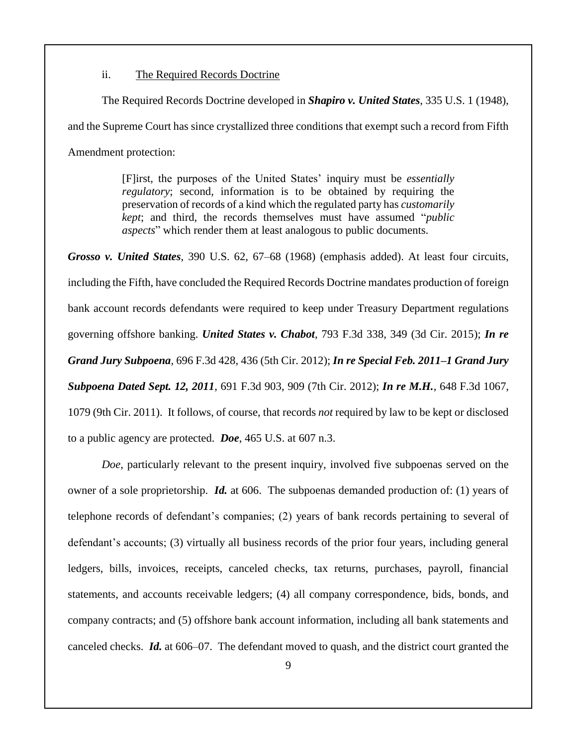ii. The Required Records Doctrine

The Required Records Doctrine developed in *Shapiro v. United States*, 335 U.S. 1 (1948), and the Supreme Court has since crystallized three conditions that exempt such a record from Fifth Amendment protection:

> [F]irst, the purposes of the United States' inquiry must be *essentially regulatory*; second, information is to be obtained by requiring the preservation of records of a kind which the regulated party has *customarily kept*; and third, the records themselves must have assumed "*public aspects*" which render them at least analogous to public documents.

*Grosso v. United States*, 390 U.S. 62, 67–68 (1968) (emphasis added). At least four circuits, including the Fifth, have concluded the Required Records Doctrine mandates production of foreign bank account records defendants were required to keep under Treasury Department regulations governing offshore banking. *United States v. Chabot*, 793 F.3d 338, 349 (3d Cir. 2015); *In re Grand Jury Subpoena*, 696 F.3d 428, 436 (5th Cir. 2012); *In re Special Feb. 2011–1 Grand Jury Subpoena Dated Sept. 12, 2011*, 691 F.3d 903, 909 (7th Cir. 2012); *In re M.H.*, 648 F.3d 1067, 1079 (9th Cir. 2011). It follows, of course, that records *not* required by law to be kept or disclosed to a public agency are protected. *Doe*, 465 U.S. at 607 n.3.

*Doe*, particularly relevant to the present inquiry, involved five subpoenas served on the owner of a sole proprietorship. *Id.* at 606. The subpoenas demanded production of: (1) years of telephone records of defendant's companies; (2) years of bank records pertaining to several of defendant's accounts; (3) virtually all business records of the prior four years, including general ledgers, bills, invoices, receipts, canceled checks, tax returns, purchases, payroll, financial statements, and accounts receivable ledgers; (4) all company correspondence, bids, bonds, and company contracts; and (5) offshore bank account information, including all bank statements and canceled checks. *Id.* at 606–07. The defendant moved to quash, and the district court granted the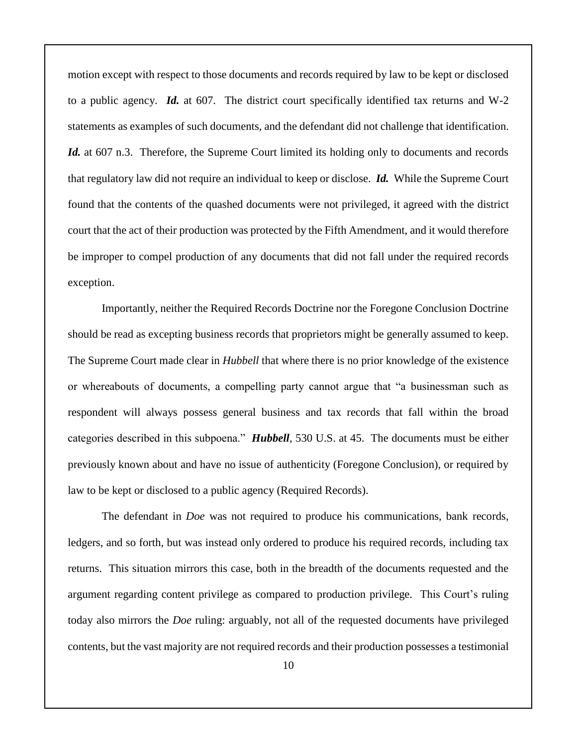motion except with respect to those documents and records required by law to be kept or disclosed to a public agency. *Id.* at 607. The district court specifically identified tax returns and W-2 statements as examples of such documents, and the defendant did not challenge that identification. *Id.* at 607 n.3. Therefore, the Supreme Court limited its holding only to documents and records that regulatory law did not require an individual to keep or disclose. *Id.* While the Supreme Court found that the contents of the quashed documents were not privileged, it agreed with the district court that the act of their production was protected by the Fifth Amendment, and it would therefore be improper to compel production of any documents that did not fall under the required records exception.

Importantly, neither the Required Records Doctrine nor the Foregone Conclusion Doctrine should be read as excepting business records that proprietors might be generally assumed to keep. The Supreme Court made clear in *Hubbell* that where there is no prior knowledge of the existence or whereabouts of documents, a compelling party cannot argue that "a businessman such as respondent will always possess general business and tax records that fall within the broad categories described in this subpoena." *Hubbell*, 530 U.S. at 45. The documents must be either previously known about and have no issue of authenticity (Foregone Conclusion), or required by law to be kept or disclosed to a public agency (Required Records).

The defendant in *Doe* was not required to produce his communications, bank records, ledgers, and so forth, but was instead only ordered to produce his required records, including tax returns. This situation mirrors this case, both in the breadth of the documents requested and the argument regarding content privilege as compared to production privilege. This Court's ruling today also mirrors the *Doe* ruling: arguably, not all of the requested documents have privileged contents, but the vast majority are not required records and their production possesses a testimonial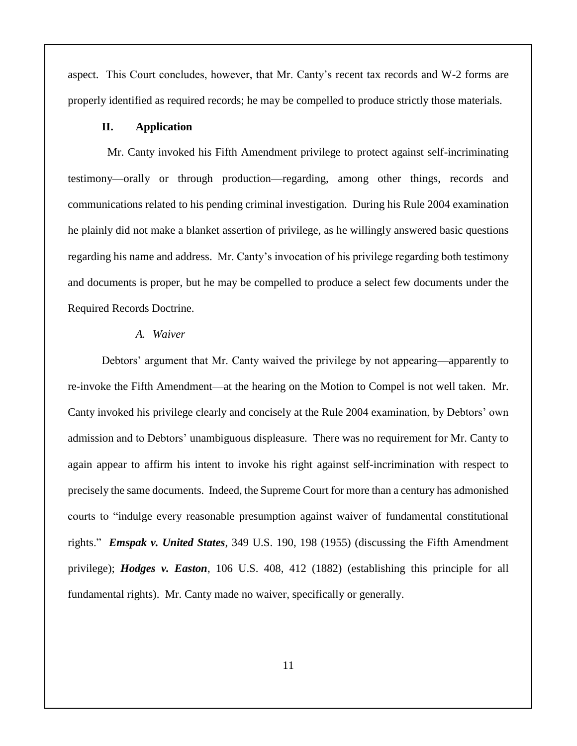aspect. This Court concludes, however, that Mr. Canty's recent tax records and W-2 forms are properly identified as required records; he may be compelled to produce strictly those materials.

#### **II. Application**

 Mr. Canty invoked his Fifth Amendment privilege to protect against self-incriminating testimony—orally or through production—regarding, among other things, records and communications related to his pending criminal investigation. During his Rule 2004 examination he plainly did not make a blanket assertion of privilege, as he willingly answered basic questions regarding his name and address. Mr. Canty's invocation of his privilege regarding both testimony and documents is proper, but he may be compelled to produce a select few documents under the Required Records Doctrine.

## *A. Waiver*

Debtors' argument that Mr. Canty waived the privilege by not appearing—apparently to re-invoke the Fifth Amendment—at the hearing on the Motion to Compel is not well taken. Mr. Canty invoked his privilege clearly and concisely at the Rule 2004 examination, by Debtors' own admission and to Debtors' unambiguous displeasure. There was no requirement for Mr. Canty to again appear to affirm his intent to invoke his right against self-incrimination with respect to precisely the same documents. Indeed, the Supreme Court for more than a century has admonished courts to "indulge every reasonable presumption against waiver of fundamental constitutional rights." *Emspak v. United States*, 349 U.S. 190, 198 (1955) (discussing the Fifth Amendment privilege); *Hodges v. Easton*, 106 U.S. 408, 412 (1882) (establishing this principle for all fundamental rights). Mr. Canty made no waiver, specifically or generally.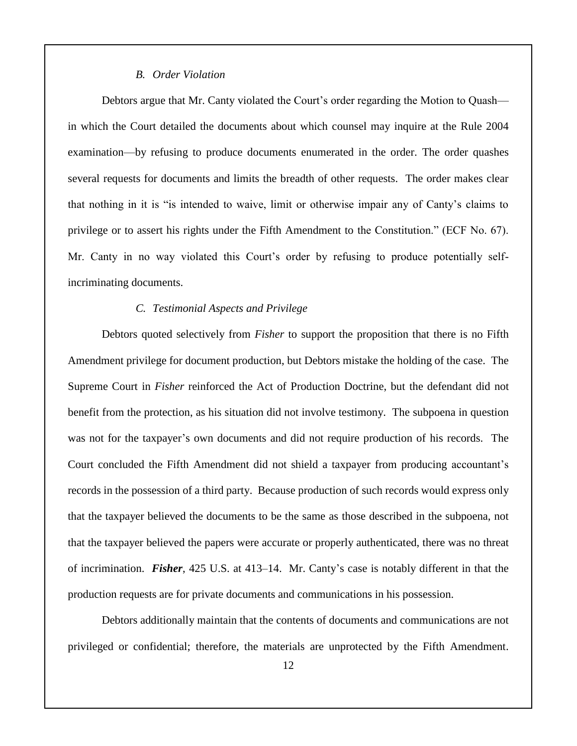## *B. Order Violation*

Debtors argue that Mr. Canty violated the Court's order regarding the Motion to Quash in which the Court detailed the documents about which counsel may inquire at the Rule 2004 examination—by refusing to produce documents enumerated in the order. The order quashes several requests for documents and limits the breadth of other requests. The order makes clear that nothing in it is "is intended to waive, limit or otherwise impair any of Canty's claims to privilege or to assert his rights under the Fifth Amendment to the Constitution." (ECF No. 67). Mr. Canty in no way violated this Court's order by refusing to produce potentially selfincriminating documents.

## *C. Testimonial Aspects and Privilege*

Debtors quoted selectively from *Fisher* to support the proposition that there is no Fifth Amendment privilege for document production, but Debtors mistake the holding of the case. The Supreme Court in *Fisher* reinforced the Act of Production Doctrine, but the defendant did not benefit from the protection, as his situation did not involve testimony. The subpoena in question was not for the taxpayer's own documents and did not require production of his records. The Court concluded the Fifth Amendment did not shield a taxpayer from producing accountant's records in the possession of a third party. Because production of such records would express only that the taxpayer believed the documents to be the same as those described in the subpoena, not that the taxpayer believed the papers were accurate or properly authenticated, there was no threat of incrimination. *Fisher*, 425 U.S. at 413–14. Mr. Canty's case is notably different in that the production requests are for private documents and communications in his possession.

Debtors additionally maintain that the contents of documents and communications are not privileged or confidential; therefore, the materials are unprotected by the Fifth Amendment.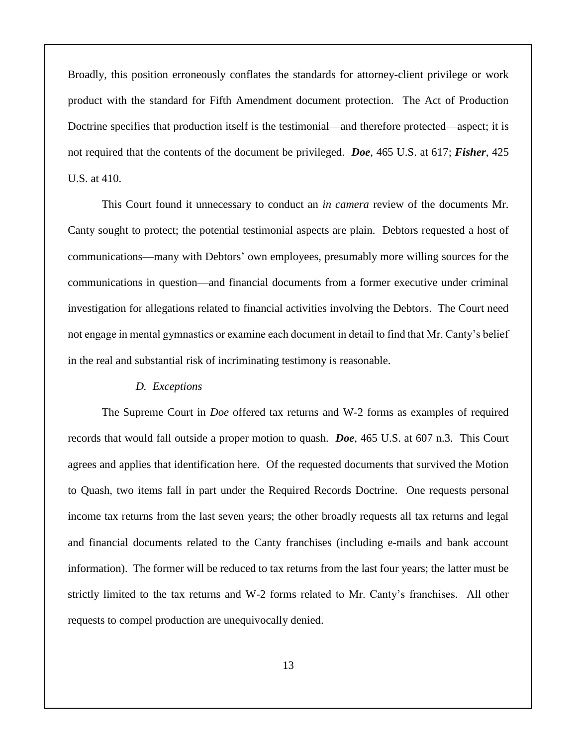Broadly, this position erroneously conflates the standards for attorney-client privilege or work product with the standard for Fifth Amendment document protection. The Act of Production Doctrine specifies that production itself is the testimonial—and therefore protected—aspect; it is not required that the contents of the document be privileged. *Doe*, 465 U.S. at 617; *Fisher*, 425 U.S. at 410.

This Court found it unnecessary to conduct an *in camera* review of the documents Mr. Canty sought to protect; the potential testimonial aspects are plain. Debtors requested a host of communications—many with Debtors' own employees, presumably more willing sources for the communications in question—and financial documents from a former executive under criminal investigation for allegations related to financial activities involving the Debtors. The Court need not engage in mental gymnastics or examine each document in detail to find that Mr. Canty's belief in the real and substantial risk of incriminating testimony is reasonable.

#### *D. Exceptions*

The Supreme Court in *Doe* offered tax returns and W-2 forms as examples of required records that would fall outside a proper motion to quash. *Doe*, 465 U.S. at 607 n.3. This Court agrees and applies that identification here. Of the requested documents that survived the Motion to Quash, two items fall in part under the Required Records Doctrine. One requests personal income tax returns from the last seven years; the other broadly requests all tax returns and legal and financial documents related to the Canty franchises (including e-mails and bank account information). The former will be reduced to tax returns from the last four years; the latter must be strictly limited to the tax returns and W-2 forms related to Mr. Canty's franchises. All other requests to compel production are unequivocally denied.